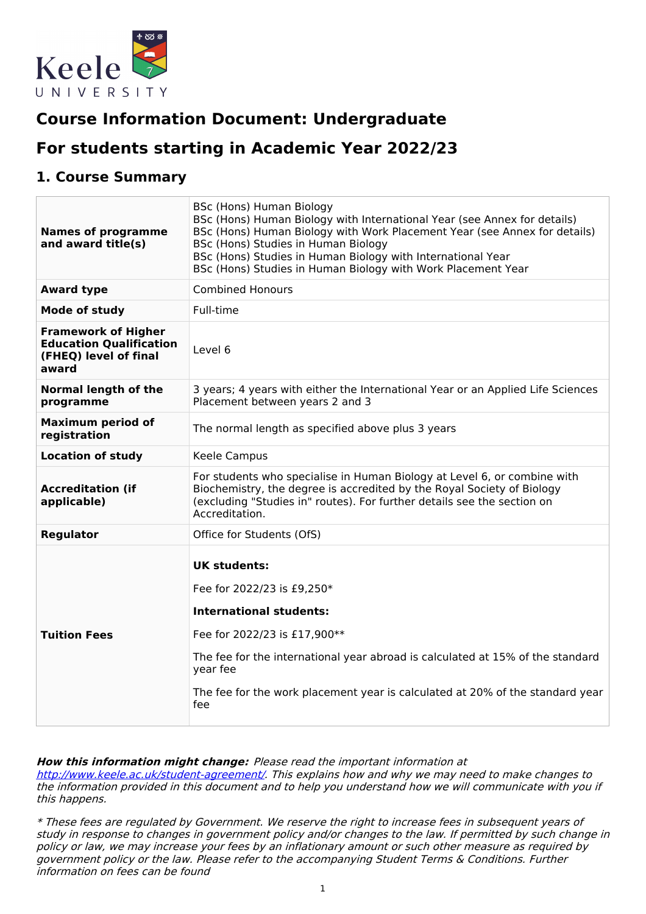

# **Course Information Document: Undergraduate**

# **For students starting in Academic Year 2022/23**

# **1. Course Summary**

| <b>Names of programme</b><br>and award title(s)                                                | BSc (Hons) Human Biology<br>BSc (Hons) Human Biology with International Year (see Annex for details)<br>BSc (Hons) Human Biology with Work Placement Year (see Annex for details)<br>BSc (Hons) Studies in Human Biology<br>BSc (Hons) Studies in Human Biology with International Year<br>BSc (Hons) Studies in Human Biology with Work Placement Year |  |  |
|------------------------------------------------------------------------------------------------|---------------------------------------------------------------------------------------------------------------------------------------------------------------------------------------------------------------------------------------------------------------------------------------------------------------------------------------------------------|--|--|
| <b>Award type</b>                                                                              | <b>Combined Honours</b>                                                                                                                                                                                                                                                                                                                                 |  |  |
| Mode of study                                                                                  | Full-time                                                                                                                                                                                                                                                                                                                                               |  |  |
| <b>Framework of Higher</b><br><b>Education Qualification</b><br>(FHEQ) level of final<br>award | Level 6                                                                                                                                                                                                                                                                                                                                                 |  |  |
| Normal length of the<br>programme                                                              | 3 years; 4 years with either the International Year or an Applied Life Sciences<br>Placement between years 2 and 3                                                                                                                                                                                                                                      |  |  |
| <b>Maximum period of</b><br>registration                                                       | The normal length as specified above plus 3 years                                                                                                                                                                                                                                                                                                       |  |  |
| <b>Location of study</b>                                                                       | Keele Campus                                                                                                                                                                                                                                                                                                                                            |  |  |
| <b>Accreditation (if</b><br>applicable)                                                        | For students who specialise in Human Biology at Level 6, or combine with<br>Biochemistry, the degree is accredited by the Royal Society of Biology<br>(excluding "Studies in" routes). For further details see the section on<br>Accreditation.                                                                                                         |  |  |
| <b>Regulator</b>                                                                               | Office for Students (OfS)                                                                                                                                                                                                                                                                                                                               |  |  |
| <b>Tuition Fees</b>                                                                            | <b>UK students:</b><br>Fee for 2022/23 is £9,250*<br><b>International students:</b><br>Fee for 2022/23 is £17,900**<br>The fee for the international year abroad is calculated at 15% of the standard<br>year fee<br>The fee for the work placement year is calculated at 20% of the standard year<br>fee                                               |  |  |

#### **How this information might change:** Please read the important information at

<http://www.keele.ac.uk/student-agreement/>. This explains how and why we may need to make changes to the information provided in this document and to help you understand how we will communicate with you if this happens.

\* These fees are regulated by Government. We reserve the right to increase fees in subsequent years of study in response to changes in government policy and/or changes to the law. If permitted by such change in policy or law, we may increase your fees by an inflationary amount or such other measure as required by government policy or the law. Please refer to the accompanying Student Terms & Conditions. Further information on fees can be found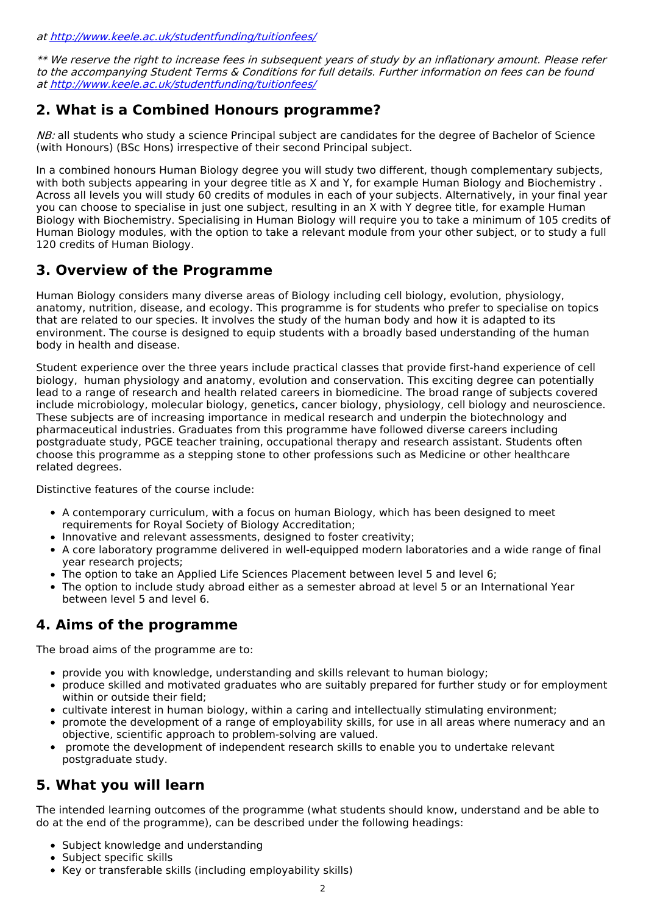at <http://www.keele.ac.uk/studentfunding/tuitionfees/>

\*\* We reserve the right to increase fees in subsequent years of study by an inflationary amount. Please refer to the accompanying Student Terms & Conditions for full details. Further information on fees can be found at <http://www.keele.ac.uk/studentfunding/tuitionfees/>

# **2. What is a Combined Honours programme?**

NB: all students who study a science Principal subject are candidates for the degree of Bachelor of Science (with Honours) (BSc Hons) irrespective of their second Principal subject.

In a combined honours Human Biology degree you will study two different, though complementary subjects, with both subjects appearing in your degree title as X and Y, for example Human Biology and Biochemistry . Across all levels you will study 60 credits of modules in each of your subjects. Alternatively, in your final year you can choose to specialise in just one subject, resulting in an X with Y degree title, for example Human Biology with Biochemistry. Specialising in Human Biology will require you to take a minimum of 105 credits of Human Biology modules, with the option to take a relevant module from your other subject, or to study a full 120 credits of Human Biology.

# **3. Overview of the Programme**

Human Biology considers many diverse areas of Biology including cell biology, evolution, physiology, anatomy, nutrition, disease, and ecology. This programme is for students who prefer to specialise on topics that are related to our species. It involves the study of the human body and how it is adapted to its environment. The course is designed to equip students with a broadly based understanding of the human body in health and disease.

Student experience over the three years include practical classes that provide first-hand experience of cell biology, human physiology and anatomy, evolution and conservation. This exciting degree can potentially lead to a range of research and health related careers in biomedicine. The broad range of subjects covered include microbiology, molecular biology, genetics, cancer biology, physiology, cell biology and neuroscience. These subjects are of increasing importance in medical research and underpin the biotechnology and pharmaceutical industries. Graduates from this programme have followed diverse careers including postgraduate study, PGCE teacher training, occupational therapy and research assistant. Students often choose this programme as a stepping stone to other professions such as Medicine or other healthcare related degrees.

Distinctive features of the course include:

- A contemporary curriculum, with a focus on human Biology, which has been designed to meet requirements for Royal Society of Biology Accreditation;
- Innovative and relevant assessments, designed to foster creativity;
- A core laboratory programme delivered in well-equipped modern laboratories and a wide range of final year research projects;
- The option to take an Applied Life Sciences Placement between level 5 and level 6;
- The option to include study abroad either as a semester abroad at level 5 or an International Year between level 5 and level 6.

# **4. Aims of the programme**

The broad aims of the programme are to:

- provide you with knowledge, understanding and skills relevant to human biology;
- produce skilled and motivated graduates who are suitably prepared for further study or for employment within or outside their field;
- cultivate interest in human biology, within a caring and intellectually stimulating environment;
- promote the development of a range of employability skills, for use in all areas where numeracy and an objective, scientific approach to problem-solving are valued.
- promote the development of independent research skills to enable you to undertake relevant postgraduate study.

# **5. What you will learn**

The intended learning outcomes of the programme (what students should know, understand and be able to do at the end of the programme), can be described under the following headings:

- Subject knowledge and understanding
- Subject specific skills
- Key or transferable skills (including employability skills)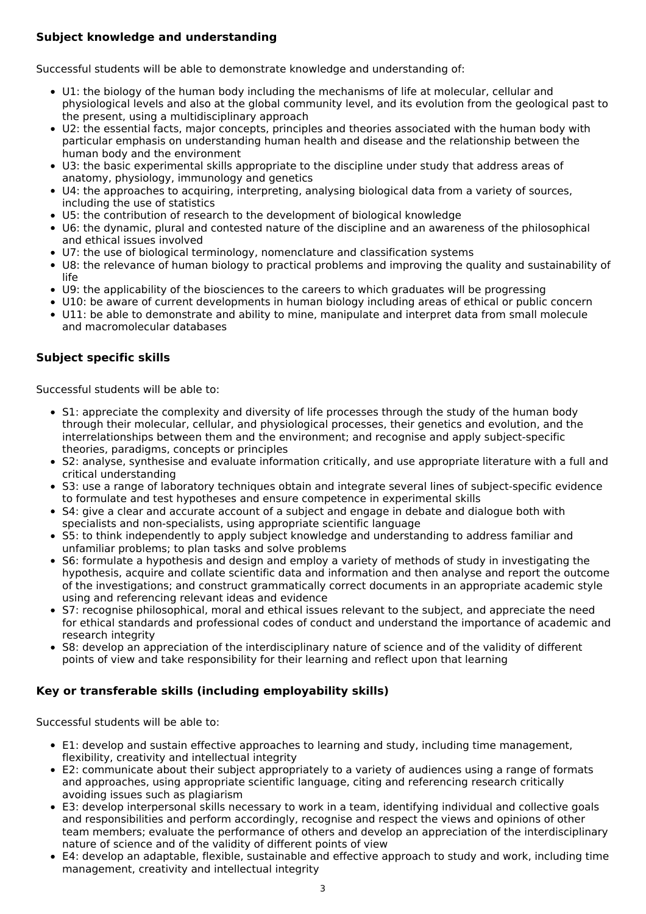### **Subject knowledge and understanding**

Successful students will be able to demonstrate knowledge and understanding of:

- U1: the biology of the human body including the mechanisms of life at molecular, cellular and physiological levels and also at the global community level, and its evolution from the geological past to the present, using a multidisciplinary approach
- U2: the essential facts, major concepts, principles and theories associated with the human body with particular emphasis on understanding human health and disease and the relationship between the human body and the environment
- U3: the basic experimental skills appropriate to the discipline under study that address areas of anatomy, physiology, immunology and genetics
- U4: the approaches to acquiring, interpreting, analysing biological data from a variety of sources, including the use of statistics
- U5: the contribution of research to the development of biological knowledge
- U6: the dynamic, plural and contested nature of the discipline and an awareness of the philosophical and ethical issues involved
- U7: the use of biological terminology, nomenclature and classification systems
- U8: the relevance of human biology to practical problems and improving the quality and sustainability of life
- U9: the applicability of the biosciences to the careers to which graduates will be progressing
- U10: be aware of current developments in human biology including areas of ethical or public concern
- U11: be able to demonstrate and ability to mine, manipulate and interpret data from small molecule and macromolecular databases

### **Subject specific skills**

Successful students will be able to:

- S1: appreciate the complexity and diversity of life processes through the study of the human body through their molecular, cellular, and physiological processes, their genetics and evolution, and the interrelationships between them and the environment; and recognise and apply subject-specific theories, paradigms, concepts or principles
- S2: analyse, synthesise and evaluate information critically, and use appropriate literature with a full and critical understanding
- S3: use a range of laboratory techniques obtain and integrate several lines of subject-specific evidence to formulate and test hypotheses and ensure competence in experimental skills
- S4: give a clear and accurate account of a subject and engage in debate and dialogue both with specialists and non-specialists, using appropriate scientific language
- S5: to think independently to apply subject knowledge and understanding to address familiar and unfamiliar problems; to plan tasks and solve problems
- S6: formulate a hypothesis and design and employ a variety of methods of study in investigating the hypothesis, acquire and collate scientific data and information and then analyse and report the outcome of the investigations; and construct grammatically correct documents in an appropriate academic style using and referencing relevant ideas and evidence
- S7: recognise philosophical, moral and ethical issues relevant to the subject, and appreciate the need for ethical standards and professional codes of conduct and understand the importance of academic and research integrity
- S8: develop an appreciation of the interdisciplinary nature of science and of the validity of different points of view and take responsibility for their learning and reflect upon that learning

### **Key or transferable skills (including employability skills)**

Successful students will be able to:

- E1: develop and sustain effective approaches to learning and study, including time management, flexibility, creativity and intellectual integrity
- E2: communicate about their subject appropriately to a variety of audiences using a range of formats and approaches, using appropriate scientific language, citing and referencing research critically avoiding issues such as plagiarism
- E3: develop interpersonal skills necessary to work in a team, identifying individual and collective goals and responsibilities and perform accordingly, recognise and respect the views and opinions of other team members; evaluate the performance of others and develop an appreciation of the interdisciplinary nature of science and of the validity of different points of view
- E4: develop an adaptable, flexible, sustainable and effective approach to study and work, including time management, creativity and intellectual integrity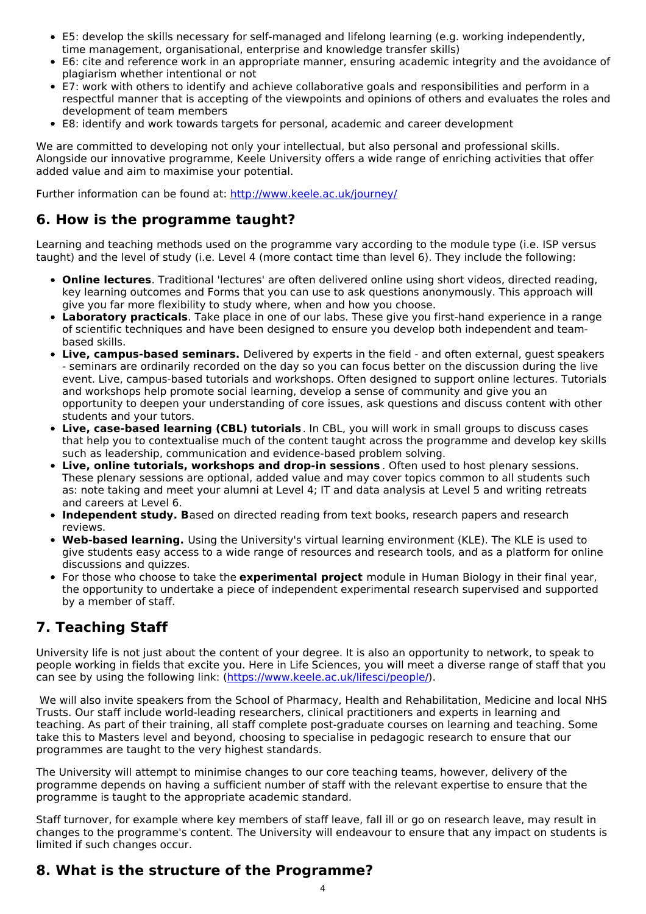- E5: develop the skills necessary for self-managed and lifelong learning (e.g. working independently, time management, organisational, enterprise and knowledge transfer skills)
- E6: cite and reference work in an appropriate manner, ensuring academic integrity and the avoidance of plagiarism whether intentional or not
- E7: work with others to identify and achieve collaborative goals and responsibilities and perform in a respectful manner that is accepting of the viewpoints and opinions of others and evaluates the roles and development of team members
- E8: identify and work towards targets for personal, academic and career development

We are committed to developing not only your intellectual, but also personal and professional skills. Alongside our innovative programme, Keele University offers a wide range of enriching activities that offer added value and aim to maximise your potential.

Further information can be found at: <http://www.keele.ac.uk/journey/>

# **6. How is the programme taught?**

Learning and teaching methods used on the programme vary according to the module type (i.e. ISP versus taught) and the level of study (i.e. Level 4 (more contact time than level 6). They include the following:

- **Online lectures**. Traditional 'lectures' are often delivered online using short videos, directed reading, key learning outcomes and Forms that you can use to ask questions anonymously. This approach will give you far more flexibility to study where, when and how you choose.
- **Laboratory practicals**. Take place in one of our labs. These give you first-hand experience in a range of scientific techniques and have been designed to ensure you develop both independent and teambased skills.
- **Live, campus-based seminars.** Delivered by experts in the field and often external, guest speakers - seminars are ordinarily recorded on the day so you can focus better on the discussion during the live event. Live, campus-based tutorials and workshops. Often designed to support online lectures. Tutorials and workshops help promote social learning, develop a sense of community and give you an opportunity to deepen your understanding of core issues, ask questions and discuss content with other students and your tutors.
- **Live, case-based learning (CBL) tutorials**. In CBL, you will work in small groups to discuss cases that help you to contextualise much of the content taught across the programme and develop key skills such as leadership, communication and evidence-based problem solving.
- **Live, online tutorials, workshops and drop-in sessions** . Often used to host plenary sessions. These plenary sessions are optional, added value and may cover topics common to all students such as: note taking and meet your alumni at Level 4; IT and data analysis at Level 5 and writing retreats and careers at Level 6.
- **Independent study. B**ased on directed reading from text books, research papers and research reviews.
- **Web-based learning.** Using the University's virtual learning environment (KLE). The KLE is used to give students easy access to a wide range of resources and research tools, and as a platform for online discussions and quizzes.
- For those who choose to take the **experimental project** module in Human Biology in their final year, the opportunity to undertake a piece of independent experimental research supervised and supported by a member of staff.

# **7. Teaching Staff**

University life is not just about the content of your degree. It is also an opportunity to network, to speak to people working in fields that excite you. Here in Life Sciences, you will meet a diverse range of staff that you can see by using the following link: [\(https://www.keele.ac.uk/lifesci/people/](https://www.keele.ac.uk/lifesci/people/)).

We will also invite speakers from the School of Pharmacy, Health and Rehabilitation, Medicine and local NHS Trusts. Our staff include world-leading researchers, clinical practitioners and experts in learning and teaching. As part of their training, all staff complete post-graduate courses on learning and teaching. Some take this to Masters level and beyond, choosing to specialise in pedagogic research to ensure that our programmes are taught to the very highest standards.

The University will attempt to minimise changes to our core teaching teams, however, delivery of the programme depends on having a sufficient number of staff with the relevant expertise to ensure that the programme is taught to the appropriate academic standard.

Staff turnover, for example where key members of staff leave, fall ill or go on research leave, may result in changes to the programme's content. The University will endeavour to ensure that any impact on students is limited if such changes occur.

# **8. What is the structure of the Programme?**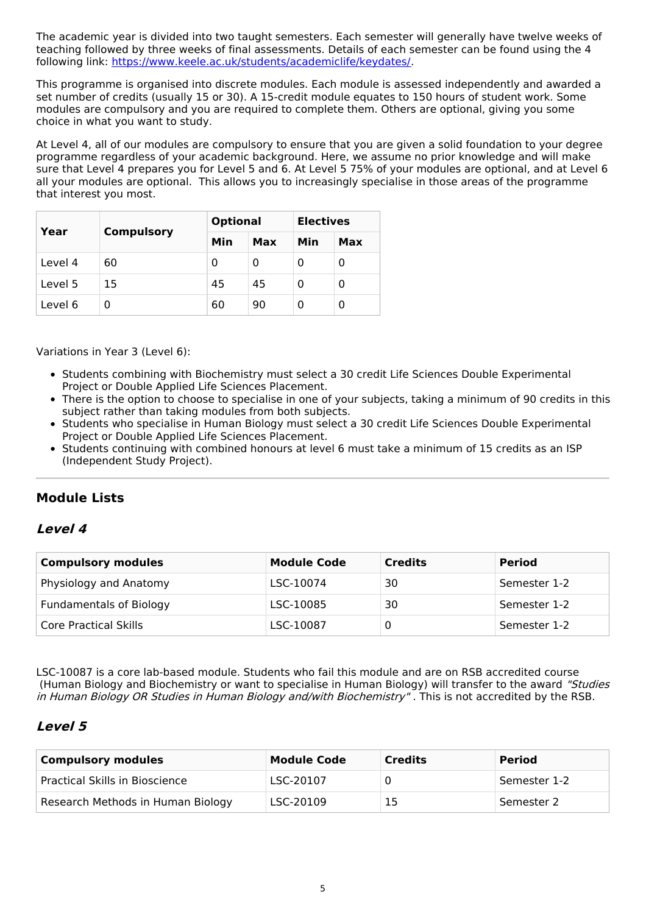The academic year is divided into two taught semesters. Each semester will generally have twelve weeks of teaching followed by three weeks of final assessments. Details of each semester can be found using the 4 following link: <https://www.keele.ac.uk/students/academiclife/keydates/>.

This programme is organised into discrete modules. Each module is assessed independently and awarded a set number of credits (usually 15 or 30). A 15-credit module equates to 150 hours of student work. Some modules are compulsory and you are required to complete them. Others are optional, giving you some choice in what you want to study.

At Level 4, all of our modules are compulsory to ensure that you are given a solid foundation to your degree programme regardless of your academic background. Here, we assume no prior knowledge and will make sure that Level 4 prepares you for Level 5 and 6. At Level 5 75% of your modules are optional, and at Level 6 all your modules are optional. This allows you to increasingly specialise in those areas of the programme that interest you most.

| Year    | <b>Compulsory</b> | <b>Optional</b> |     | <b>Electives</b> |     |
|---------|-------------------|-----------------|-----|------------------|-----|
|         |                   | Min             | Max | Min              | Max |
| Level 4 | 60                | 0               | 0   | 0                | 0   |
| Level 5 | 15                | 45              | 45  | Ω                | 0   |
| Level 6 | O                 | 60              | 90  | Ω                | 0   |

Variations in Year 3 (Level 6):

- Students combining with Biochemistry must select a 30 credit Life Sciences Double Experimental Project or Double Applied Life Sciences Placement.
- There is the option to choose to specialise in one of your subjects, taking a minimum of 90 credits in this subject rather than taking modules from both subjects.
- Students who specialise in Human Biology must select a 30 credit Life Sciences Double Experimental Project or Double Applied Life Sciences Placement.
- Students continuing with combined honours at level 6 must take a minimum of 15 credits as an ISP (Independent Study Project).

# **Module Lists**

### **Level 4**

| <b>Compulsory modules</b>      | <b>Module Code</b> | <b>Credits</b> | <b>Period</b> |
|--------------------------------|--------------------|----------------|---------------|
| Physiology and Anatomy         | LSC-10074          | 30             | Semester 1-2  |
| <b>Fundamentals of Biology</b> | LSC-10085          | 30             | Semester 1-2  |
| Core Practical Skills          | LSC-10087          |                | Semester 1-2  |

LSC-10087 is a core lab-based module. Students who fail this module and are on RSB accredited course (Human Biology and Biochemistry or want to specialise in Human Biology) will transfer to the award "Studies in Human Biology OR Studies in Human Biology and/with Biochemistry". This is not accredited by the RSB.

### **Level 5**

| <b>Compulsory modules</b>         | <b>Module Code</b> | <b>Credits</b> | <b>Period</b> |
|-----------------------------------|--------------------|----------------|---------------|
| Practical Skills in Bioscience    | LSC-20107          |                | Semester 1-2  |
| Research Methods in Human Biology | LSC-20109          | 15             | Semester 2    |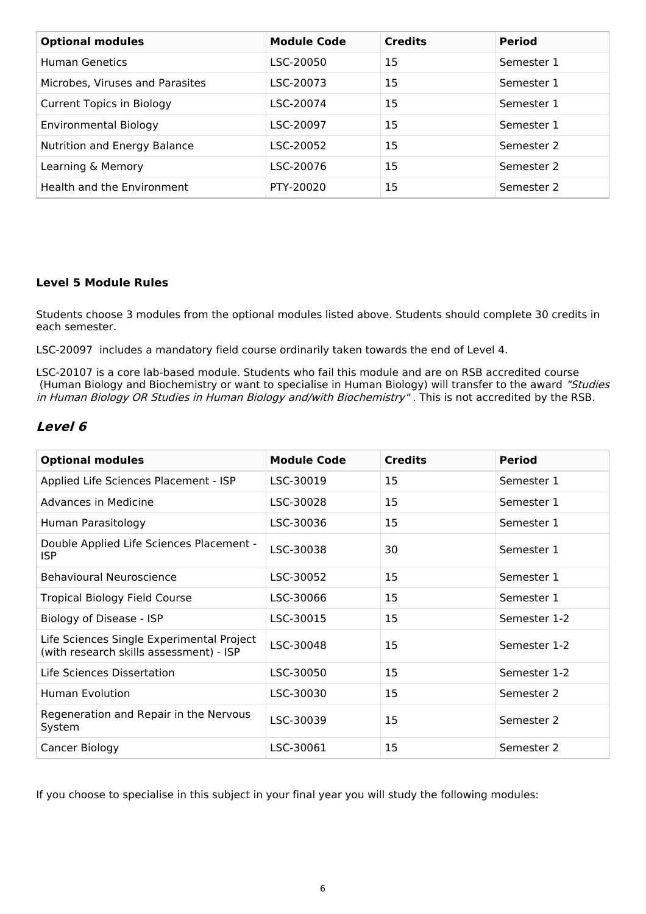| <b>Optional modules</b>          | <b>Module Code</b> | <b>Credits</b> | <b>Period</b> |
|----------------------------------|--------------------|----------------|---------------|
| <b>Human Genetics</b>            | LSC-20050          | 15             | Semester 1    |
| Microbes, Viruses and Parasites  | LSC-20073          | 15             | Semester 1    |
| <b>Current Topics in Biology</b> | LSC-20074          | 15             | Semester 1    |
| Environmental Biology            | LSC-20097          | 15             | Semester 1    |
| Nutrition and Energy Balance     | LSC-20052          | 15             | Semester 2    |
| Learning & Memory                | LSC-20076          | 15             | Semester 2    |
| Health and the Environment       | PTY-20020          | 15             | Semester 2    |

### **Level 5 Module Rules**

Students choose 3 modules from the optional modules listed above. Students should complete 30 credits in each semester.

LSC-20097 includes a mandatory field course ordinarily taken towards the end of Level 4.

LSC-20107 is a core lab-based module. Students who fail this module and are on RSB accredited course (Human Biology and Biochemistry or want to specialise in Human Biology) will transfer to the award "Studies in Human Biology OR Studies in Human Biology and/with Biochemistry". This is not accredited by the RSB.

## **Level 6**

| <b>Optional modules</b>                                                              | <b>Module Code</b> | <b>Credits</b> | <b>Period</b> |
|--------------------------------------------------------------------------------------|--------------------|----------------|---------------|
| Applied Life Sciences Placement - ISP                                                | LSC-30019          | 15             | Semester 1    |
| Advances in Medicine                                                                 | LSC-30028          | 15             | Semester 1    |
| Human Parasitology                                                                   | LSC-30036          | 15             | Semester 1    |
| Double Applied Life Sciences Placement -<br><b>ISP</b>                               | LSC-30038          | 30             | Semester 1    |
| Behavioural Neuroscience                                                             | LSC-30052          | 15             | Semester 1    |
| <b>Tropical Biology Field Course</b>                                                 | LSC-30066          | 15             | Semester 1    |
| Biology of Disease - ISP                                                             | LSC-30015          | 15             | Semester 1-2  |
| Life Sciences Single Experimental Project<br>(with research skills assessment) - ISP | LSC-30048          | 15             | Semester 1-2  |
| Life Sciences Dissertation                                                           | LSC-30050          | 15             | Semester 1-2  |
| Human Evolution                                                                      | LSC-30030          | 15             | Semester 2    |
| Regeneration and Repair in the Nervous<br>System                                     | LSC-30039          | 15             | Semester 2    |
| Cancer Biology                                                                       | LSC-30061          | 15             | Semester 2    |

If you choose to specialise in this subject in your final year you will study the following modules: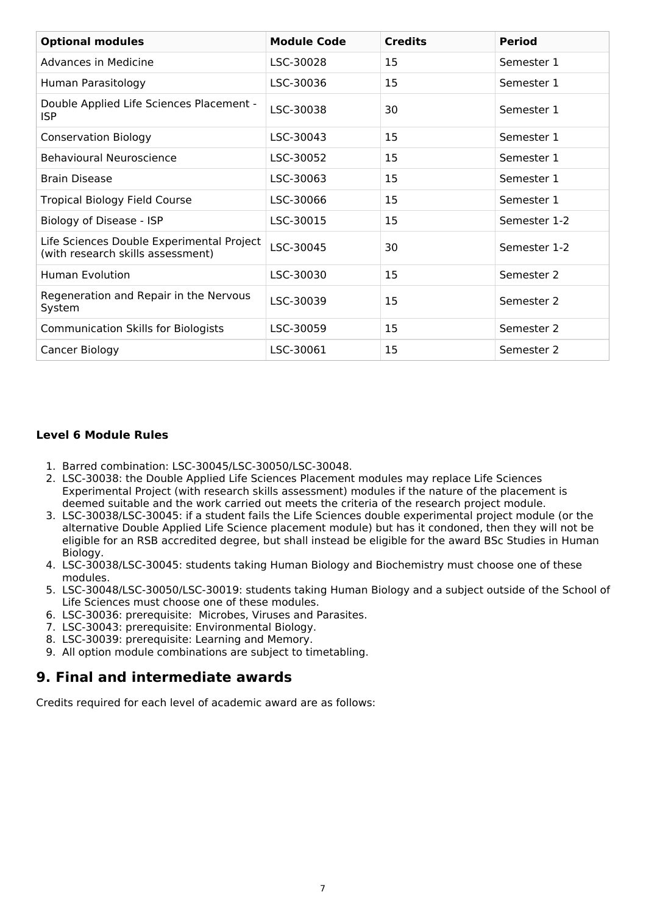| <b>Optional modules</b>                                                        | <b>Module Code</b> | <b>Credits</b> | <b>Period</b> |
|--------------------------------------------------------------------------------|--------------------|----------------|---------------|
| Advances in Medicine                                                           | LSC-30028          | 15             | Semester 1    |
| Human Parasitology                                                             | LSC-30036          | 15             | Semester 1    |
| Double Applied Life Sciences Placement -<br><b>ISP</b>                         | LSC-30038          | 30             | Semester 1    |
| <b>Conservation Biology</b>                                                    | LSC-30043          | 15             | Semester 1    |
| <b>Behavioural Neuroscience</b>                                                | LSC-30052          | 15             | Semester 1    |
| <b>Brain Disease</b>                                                           | LSC-30063          | 15             | Semester 1    |
| <b>Tropical Biology Field Course</b>                                           | LSC-30066          | 15             | Semester 1    |
| Biology of Disease - ISP                                                       | LSC-30015          | 15             | Semester 1-2  |
| Life Sciences Double Experimental Project<br>(with research skills assessment) | LSC-30045          | 30             | Semester 1-2  |
| <b>Human Evolution</b>                                                         | LSC-30030          | 15             | Semester 2    |
| Regeneration and Repair in the Nervous<br>System                               | LSC-30039          | 15             | Semester 2    |
| <b>Communication Skills for Biologists</b>                                     | LSC-30059          | 15             | Semester 2    |
| Cancer Biology                                                                 | LSC-30061          | 15             | Semester 2    |

### **Level 6 Module Rules**

- 1. Barred combination: LSC-30045/LSC-30050/LSC-30048.
- 2. LSC-30038: the Double Applied Life Sciences Placement modules may replace Life Sciences Experimental Project (with research skills assessment) modules if the nature of the placement is deemed suitable and the work carried out meets the criteria of the research project module.
- 3. LSC-30038/LSC-30045: if a student fails the Life Sciences double experimental project module (or the alternative Double Applied Life Science placement module) but has it condoned, then they will not be eligible for an RSB accredited degree, but shall instead be eligible for the award BSc Studies in Human Biology.
- 4. LSC-30038/LSC-30045: students taking Human Biology and Biochemistry must choose one of these modules.
- 5. LSC-30048/LSC-30050/LSC-30019: students taking Human Biology and a subject outside of the School of Life Sciences must choose one of these modules.
- 6. LSC-30036: prerequisite: Microbes, Viruses and Parasites.
- 7. LSC-30043: prerequisite: Environmental Biology.
- 8. LSC-30039: prerequisite: Learning and Memory.
- 9. All option module combinations are subject to timetabling.

### **9. Final and intermediate awards**

Credits required for each level of academic award are as follows: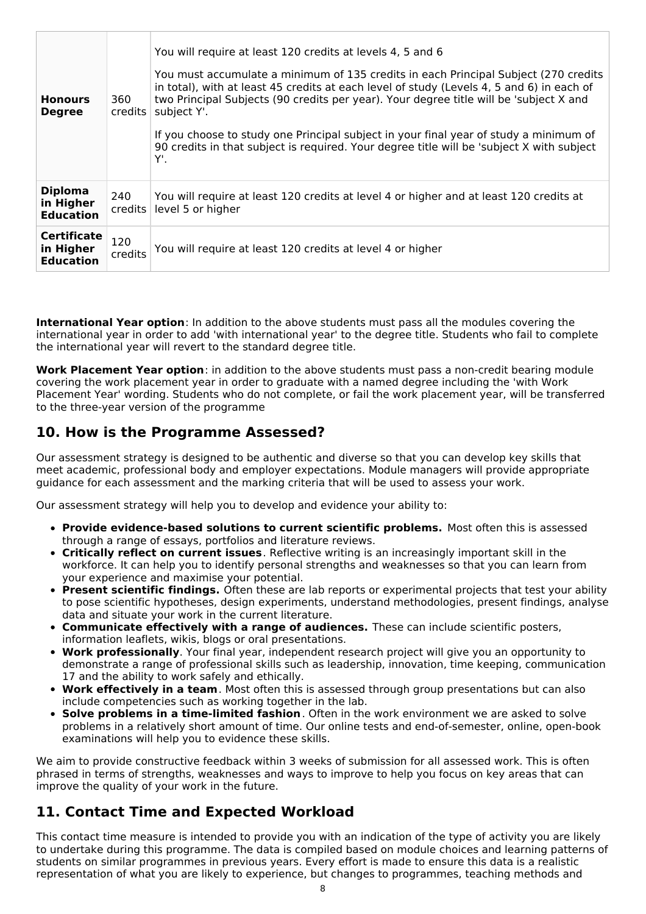| <b>Honours</b><br><b>Degree</b>                     | 360<br>credits | You will require at least 120 credits at levels 4, 5 and 6<br>You must accumulate a minimum of 135 credits in each Principal Subject (270 credits<br>in total), with at least 45 credits at each level of study (Levels 4, 5 and 6) in each of<br>two Principal Subjects (90 credits per year). Your degree title will be 'subject X and<br>subject Y'.<br>If you choose to study one Principal subject in your final year of study a minimum of<br>90 credits in that subject is required. Your degree title will be 'subject X with subject<br>Υ'. |
|-----------------------------------------------------|----------------|------------------------------------------------------------------------------------------------------------------------------------------------------------------------------------------------------------------------------------------------------------------------------------------------------------------------------------------------------------------------------------------------------------------------------------------------------------------------------------------------------------------------------------------------------|
| <b>Diploma</b><br>in Higher<br><b>Education</b>     | 240<br>credits | You will require at least 120 credits at level 4 or higher and at least 120 credits at<br>level 5 or higher                                                                                                                                                                                                                                                                                                                                                                                                                                          |
| <b>Certificate</b><br>in Higher<br><b>Education</b> | 120<br>credits | You will require at least 120 credits at level 4 or higher                                                                                                                                                                                                                                                                                                                                                                                                                                                                                           |

**International Year option**: In addition to the above students must pass all the modules covering the international year in order to add 'with international year' to the degree title. Students who fail to complete the international year will revert to the standard degree title.

**Work Placement Year option**: in addition to the above students must pass a non-credit bearing module covering the work placement year in order to graduate with a named degree including the 'with Work Placement Year' wording. Students who do not complete, or fail the work placement year, will be transferred to the three-year version of the programme

# **10. How is the Programme Assessed?**

Our assessment strategy is designed to be authentic and diverse so that you can develop key skills that meet academic, professional body and employer expectations. Module managers will provide appropriate guidance for each assessment and the marking criteria that will be used to assess your work.

Our assessment strategy will help you to develop and evidence your ability to:

- **Provide evidence-based solutions to current scientific problems.** Most often this is assessed through a range of essays, portfolios and literature reviews.
- **Critically reflect on current issues**. Reflective writing is an increasingly important skill in the workforce. It can help you to identify personal strengths and weaknesses so that you can learn from your experience and maximise your potential.
- **Present scientific findings.** Often these are lab reports or experimental projects that test your ability to pose scientific hypotheses, design experiments, understand methodologies, present findings, analyse data and situate your work in the current literature.
- **Communicate effectively with a range of audiences.** These can include scientific posters, information leaflets, wikis, blogs or oral presentations.
- **Work professionally**. Your final year, independent research project will give you an opportunity to demonstrate a range of professional skills such as leadership, innovation, time keeping, communication 17 and the ability to work safely and ethically.
- **Work effectively in a team**. Most often this is assessed through group presentations but can also include competencies such as working together in the lab.
- **Solve problems in a time-limited fashion**. Often in the work environment we are asked to solve problems in a relatively short amount of time. Our online tests and end-of-semester, online, open-book examinations will help you to evidence these skills.

We aim to provide constructive feedback within 3 weeks of submission for all assessed work. This is often phrased in terms of strengths, weaknesses and ways to improve to help you focus on key areas that can improve the quality of your work in the future.

# **11. Contact Time and Expected Workload**

This contact time measure is intended to provide you with an indication of the type of activity you are likely to undertake during this programme. The data is compiled based on module choices and learning patterns of students on similar programmes in previous years. Every effort is made to ensure this data is a realistic representation of what you are likely to experience, but changes to programmes, teaching methods and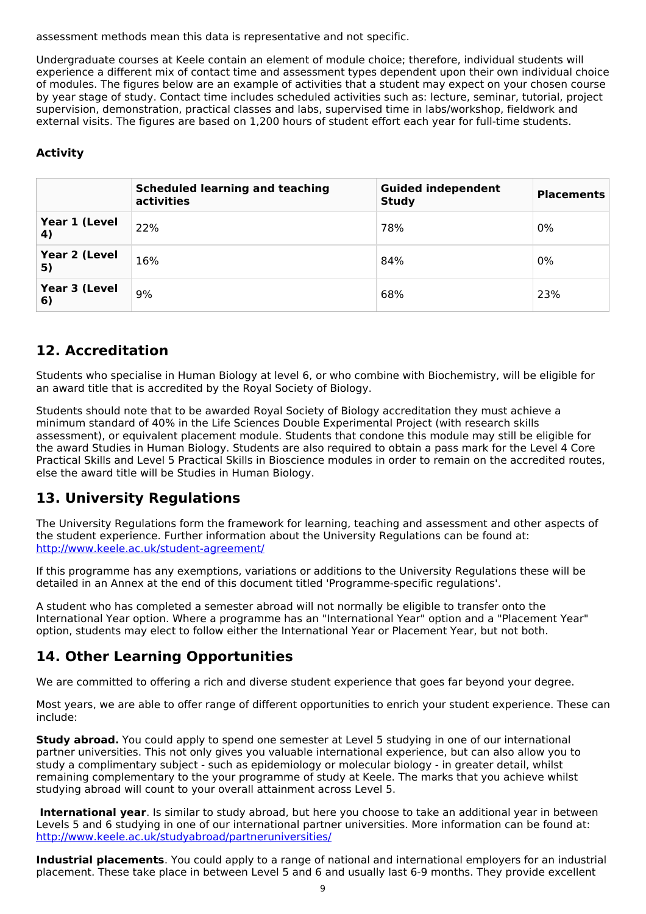assessment methods mean this data is representative and not specific.

Undergraduate courses at Keele contain an element of module choice; therefore, individual students will experience a different mix of contact time and assessment types dependent upon their own individual choice of modules. The figures below are an example of activities that a student may expect on your chosen course by year stage of study. Contact time includes scheduled activities such as: lecture, seminar, tutorial, project supervision, demonstration, practical classes and labs, supervised time in labs/workshop, fieldwork and external visits. The figures are based on 1,200 hours of student effort each year for full-time students.

### **Activity**

|                     | <b>Scheduled learning and teaching</b><br>activities | <b>Guided independent</b><br><b>Study</b> | <b>Placements</b> |
|---------------------|------------------------------------------------------|-------------------------------------------|-------------------|
| Year 1 (Level<br>4) | 22%                                                  | 78%                                       | 0%                |
| Year 2 (Level<br>5) | 16%                                                  | 84%                                       | 0%                |
| Year 3 (Level<br>6) | 9%                                                   | 68%                                       | 23%               |

# **12. Accreditation**

Students who specialise in Human Biology at level 6, or who combine with Biochemistry, will be eligible for an award title that is accredited by the Royal Society of Biology.

Students should note that to be awarded Royal Society of Biology accreditation they must achieve a minimum standard of 40% in the Life Sciences Double Experimental Project (with research skills assessment), or equivalent placement module. Students that condone this module may still be eligible for the award Studies in Human Biology. Students are also required to obtain a pass mark for the Level 4 Core Practical Skills and Level 5 Practical Skills in Bioscience modules in order to remain on the accredited routes, else the award title will be Studies in Human Biology.

# **13. University Regulations**

The University Regulations form the framework for learning, teaching and assessment and other aspects of the student experience. Further information about the University Regulations can be found at: <http://www.keele.ac.uk/student-agreement/>

If this programme has any exemptions, variations or additions to the University Regulations these will be detailed in an Annex at the end of this document titled 'Programme-specific regulations'.

A student who has completed a semester abroad will not normally be eligible to transfer onto the International Year option. Where a programme has an "International Year" option and a "Placement Year" option, students may elect to follow either the International Year or Placement Year, but not both.

# **14. Other Learning Opportunities**

We are committed to offering a rich and diverse student experience that goes far beyond your degree.

Most years, we are able to offer range of different opportunities to enrich your student experience. These can include:

**Study abroad.** You could apply to spend one semester at Level 5 studying in one of our international partner universities. This not only gives you valuable international experience, but can also allow you to study a complimentary subject - such as epidemiology or molecular biology - in greater detail, whilst remaining complementary to the your programme of study at Keele. The marks that you achieve whilst studying abroad will count to your overall attainment across Level 5.

**International year**. Is similar to study abroad, but here you choose to take an additional year in between Levels 5 and 6 studying in one of our international partner universities. More information can be found at: <http://www.keele.ac.uk/studyabroad/partneruniversities/>

**Industrial placements**. You could apply to a range of national and international employers for an industrial placement. These take place in between Level 5 and 6 and usually last 6-9 months. They provide excellent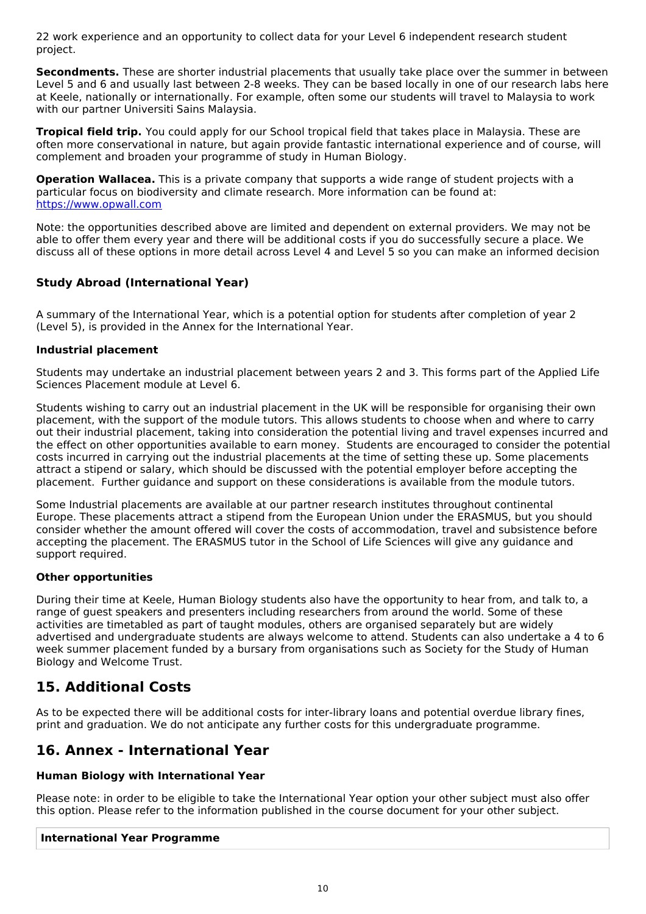22 work experience and an opportunity to collect data for your Level 6 independent research student project.

**Secondments.** These are shorter industrial placements that usually take place over the summer in between Level 5 and 6 and usually last between 2-8 weeks. They can be based locally in one of our research labs here at Keele, nationally or internationally. For example, often some our students will travel to Malaysia to work with our partner Universiti Sains Malaysia.

**Tropical field trip.** You could apply for our School tropical field that takes place in Malaysia. These are often more conservational in nature, but again provide fantastic international experience and of course, will complement and broaden your programme of study in Human Biology.

**Operation Wallacea.** This is a private company that supports a wide range of student projects with a particular focus on biodiversity and climate research. More information can be found at: <https://www.opwall.com>

Note: the opportunities described above are limited and dependent on external providers. We may not be able to offer them every year and there will be additional costs if you do successfully secure a place. We discuss all of these options in more detail across Level 4 and Level 5 so you can make an informed decision

### **Study Abroad (International Year)**

A summary of the International Year, which is a potential option for students after completion of year 2 (Level 5), is provided in the Annex for the International Year.

### **Industrial placement**

Students may undertake an industrial placement between years 2 and 3. This forms part of the Applied Life Sciences Placement module at Level 6.

Students wishing to carry out an industrial placement in the UK will be responsible for organising their own placement, with the support of the module tutors. This allows students to choose when and where to carry out their industrial placement, taking into consideration the potential living and travel expenses incurred and the effect on other opportunities available to earn money. Students are encouraged to consider the potential costs incurred in carrying out the industrial placements at the time of setting these up. Some placements attract a stipend or salary, which should be discussed with the potential employer before accepting the placement. Further guidance and support on these considerations is available from the module tutors.

Some Industrial placements are available at our partner research institutes throughout continental Europe. These placements attract a stipend from the European Union under the ERASMUS, but you should consider whether the amount offered will cover the costs of accommodation, travel and subsistence before accepting the placement. The ERASMUS tutor in the School of Life Sciences will give any guidance and support required.

#### **Other opportunities**

During their time at Keele, Human Biology students also have the opportunity to hear from, and talk to, a range of guest speakers and presenters including researchers from around the world. Some of these activities are timetabled as part of taught modules, others are organised separately but are widely advertised and undergraduate students are always welcome to attend. Students can also undertake a 4 to 6 week summer placement funded by a bursary from organisations such as Society for the Study of Human Biology and Welcome Trust.

# **15. Additional Costs**

As to be expected there will be additional costs for inter-library loans and potential overdue library fines, print and graduation. We do not anticipate any further costs for this undergraduate programme.

# **16. Annex - International Year**

#### **Human Biology with International Year**

Please note: in order to be eligible to take the International Year option your other subject must also offer this option. Please refer to the information published in the course document for your other subject.

#### **International Year Programme**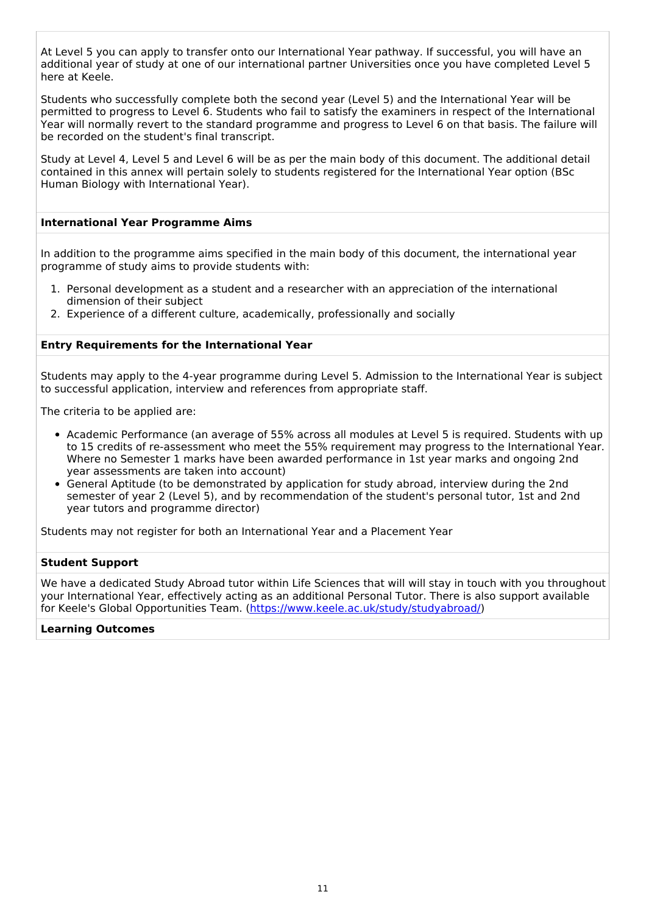At Level 5 you can apply to transfer onto our International Year pathway. If successful, you will have an additional year of study at one of our international partner Universities once you have completed Level 5 here at Keele.

Students who successfully complete both the second year (Level 5) and the International Year will be permitted to progress to Level 6. Students who fail to satisfy the examiners in respect of the International Year will normally revert to the standard programme and progress to Level 6 on that basis. The failure will be recorded on the student's final transcript.

Study at Level 4, Level 5 and Level 6 will be as per the main body of this document. The additional detail contained in this annex will pertain solely to students registered for the International Year option (BSc Human Biology with International Year).

#### **International Year Programme Aims**

In addition to the programme aims specified in the main body of this document, the international year programme of study aims to provide students with:

- 1. Personal development as a student and a researcher with an appreciation of the international dimension of their subject
- 2. Experience of a different culture, academically, professionally and socially

#### **Entry Requirements for the International Year**

Students may apply to the 4-year programme during Level 5. Admission to the International Year is subject to successful application, interview and references from appropriate staff.

The criteria to be applied are:

- Academic Performance (an average of 55% across all modules at Level 5 is required. Students with up to 15 credits of re-assessment who meet the 55% requirement may progress to the International Year. Where no Semester 1 marks have been awarded performance in 1st year marks and ongoing 2nd year assessments are taken into account)
- General Aptitude (to be demonstrated by application for study abroad, interview during the 2nd semester of year 2 (Level 5), and by recommendation of the student's personal tutor, 1st and 2nd year tutors and programme director)

Students may not register for both an International Year and a Placement Year

#### **Student Support**

We have a dedicated Study Abroad tutor within Life Sciences that will will stay in touch with you throughout your International Year, effectively acting as an additional Personal Tutor. There is also support available for Keele's Global Opportunities Team. [\(https://www.keele.ac.uk/study/studyabroad/](https://www.keele.ac.uk/study/studyabroad/))

#### **Learning Outcomes**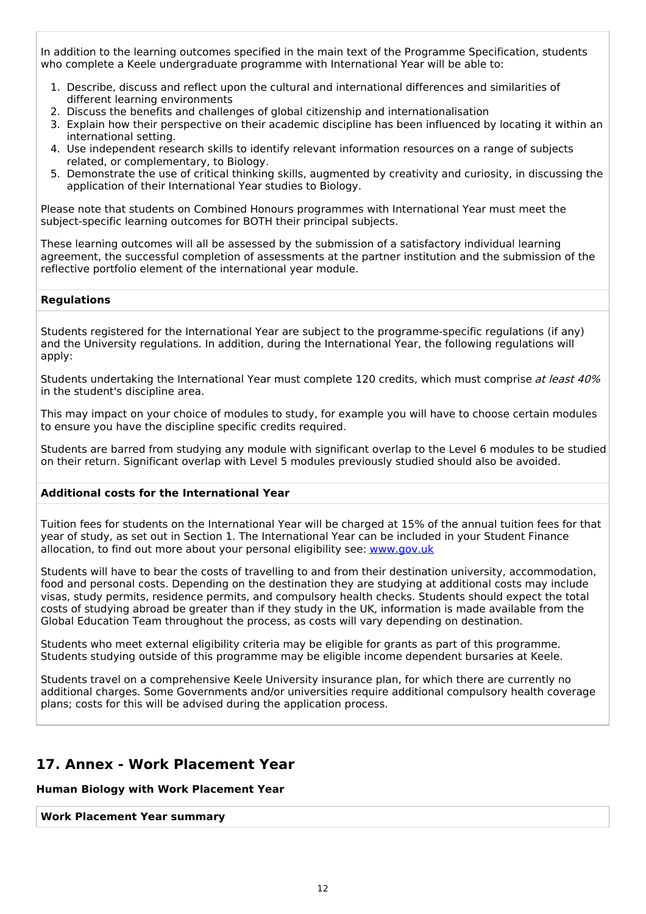In addition to the learning outcomes specified in the main text of the Programme Specification, students who complete a Keele undergraduate programme with International Year will be able to:

- 1. Describe, discuss and reflect upon the cultural and international differences and similarities of different learning environments
- 2. Discuss the benefits and challenges of global citizenship and internationalisation
- 3. Explain how their perspective on their academic discipline has been influenced by locating it within an international setting.
- 4. Use independent research skills to identify relevant information resources on a range of subjects related, or complementary, to Biology.
- 5. Demonstrate the use of critical thinking skills, augmented by creativity and curiosity, in discussing the application of their International Year studies to Biology.

Please note that students on Combined Honours programmes with International Year must meet the subject-specific learning outcomes for BOTH their principal subjects.

These learning outcomes will all be assessed by the submission of a satisfactory individual learning agreement, the successful completion of assessments at the partner institution and the submission of the reflective portfolio element of the international year module.

#### **Regulations**

Students registered for the International Year are subject to the programme-specific regulations (if any) and the University regulations. In addition, during the International Year, the following regulations will apply:

Students undertaking the International Year must complete 120 credits, which must comprise at least 40% in the student's discipline area.

This may impact on your choice of modules to study, for example you will have to choose certain modules to ensure you have the discipline specific credits required.

Students are barred from studying any module with significant overlap to the Level 6 modules to be studied on their return. Significant overlap with Level 5 modules previously studied should also be avoided.

#### **Additional costs for the International Year**

Tuition fees for students on the International Year will be charged at 15% of the annual tuition fees for that year of study, as set out in Section 1. The International Year can be included in your Student Finance allocation, to find out more about your personal eligibility see: [www.gov.uk](http://www.gov.uk/)

Students will have to bear the costs of travelling to and from their destination university, accommodation, food and personal costs. Depending on the destination they are studying at additional costs may include visas, study permits, residence permits, and compulsory health checks. Students should expect the total costs of studying abroad be greater than if they study in the UK, information is made available from the Global Education Team throughout the process, as costs will vary depending on destination.

Students who meet external eligibility criteria may be eligible for grants as part of this programme. Students studying outside of this programme may be eligible income dependent bursaries at Keele.

Students travel on a comprehensive Keele University insurance plan, for which there are currently no additional charges. Some Governments and/or universities require additional compulsory health coverage plans; costs for this will be advised during the application process.

# **17. Annex - Work Placement Year**

#### **Human Biology with Work Placement Year**

**Work Placement Year summary**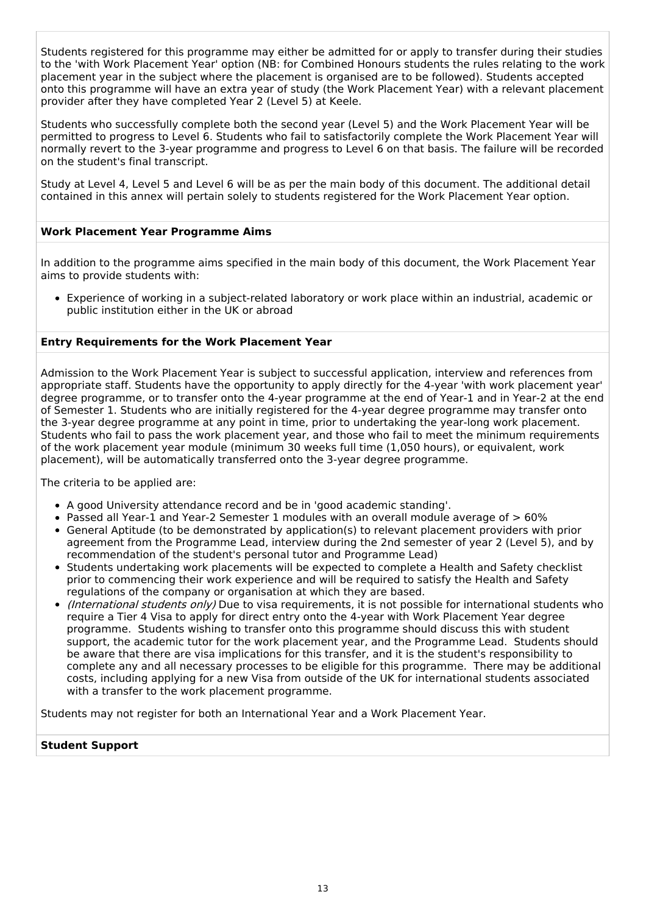Students registered for this programme may either be admitted for or apply to transfer during their studies to the 'with Work Placement Year' option (NB: for Combined Honours students the rules relating to the work placement year in the subject where the placement is organised are to be followed). Students accepted onto this programme will have an extra year of study (the Work Placement Year) with a relevant placement provider after they have completed Year 2 (Level 5) at Keele.

Students who successfully complete both the second year (Level 5) and the Work Placement Year will be permitted to progress to Level 6. Students who fail to satisfactorily complete the Work Placement Year will normally revert to the 3-year programme and progress to Level 6 on that basis. The failure will be recorded on the student's final transcript.

Study at Level 4, Level 5 and Level 6 will be as per the main body of this document. The additional detail contained in this annex will pertain solely to students registered for the Work Placement Year option.

### **Work Placement Year Programme Aims**

In addition to the programme aims specified in the main body of this document, the Work Placement Year aims to provide students with:

Experience of working in a subject-related laboratory or work place within an industrial, academic or public institution either in the UK or abroad

#### **Entry Requirements for the Work Placement Year**

Admission to the Work Placement Year is subject to successful application, interview and references from appropriate staff. Students have the opportunity to apply directly for the 4-year 'with work placement year' degree programme, or to transfer onto the 4-year programme at the end of Year-1 and in Year-2 at the end of Semester 1. Students who are initially registered for the 4-year degree programme may transfer onto the 3-year degree programme at any point in time, prior to undertaking the year-long work placement. Students who fail to pass the work placement year, and those who fail to meet the minimum requirements of the work placement year module (minimum 30 weeks full time (1,050 hours), or equivalent, work placement), will be automatically transferred onto the 3-year degree programme.

The criteria to be applied are:

- A good University attendance record and be in 'good academic standing'.
- Passed all Year-1 and Year-2 Semester 1 modules with an overall module average of  $> 60\%$
- General Aptitude (to be demonstrated by application(s) to relevant placement providers with prior agreement from the Programme Lead, interview during the 2nd semester of year 2 (Level 5), and by recommendation of the student's personal tutor and Programme Lead)
- Students undertaking work placements will be expected to complete a Health and Safety checklist prior to commencing their work experience and will be required to satisfy the Health and Safety regulations of the company or organisation at which they are based.
- (International students only) Due to visa requirements, it is not possible for international students who require a Tier 4 Visa to apply for direct entry onto the 4-year with Work Placement Year degree programme. Students wishing to transfer onto this programme should discuss this with student support, the academic tutor for the work placement year, and the Programme Lead. Students should be aware that there are visa implications for this transfer, and it is the student's responsibility to complete any and all necessary processes to be eligible for this programme. There may be additional costs, including applying for a new Visa from outside of the UK for international students associated with a transfer to the work placement programme.

Students may not register for both an International Year and a Work Placement Year.

#### **Student Support**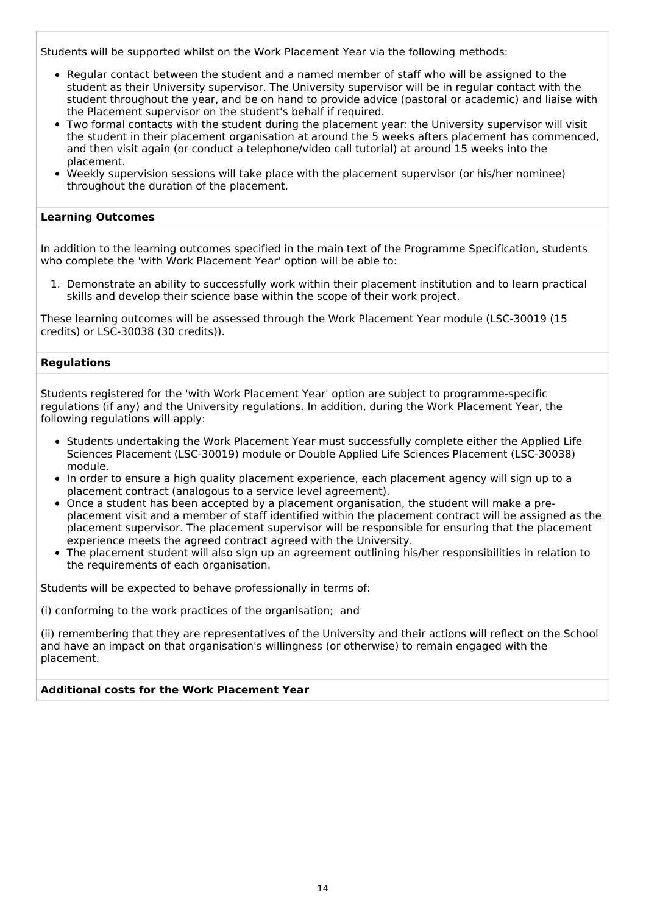Students will be supported whilst on the Work Placement Year via the following methods:

- Regular contact between the student and a named member of staff who will be assigned to the student as their University supervisor. The University supervisor will be in regular contact with the student throughout the year, and be on hand to provide advice (pastoral or academic) and liaise with the Placement supervisor on the student's behalf if required.
- Two formal contacts with the student during the placement year: the University supervisor will visit the student in their placement organisation at around the 5 weeks afters placement has commenced, and then visit again (or conduct a telephone/video call tutorial) at around 15 weeks into the placement.
- Weekly supervision sessions will take place with the placement supervisor (or his/her nominee) throughout the duration of the placement.

#### **Learning Outcomes**

In addition to the learning outcomes specified in the main text of the Programme Specification, students who complete the 'with Work Placement Year' option will be able to:

1. Demonstrate an ability to successfully work within their placement institution and to learn practical skills and develop their science base within the scope of their work project.

These learning outcomes will be assessed through the Work Placement Year module (LSC-30019 (15 credits) or LSC-30038 (30 credits)).

#### **Regulations**

Students registered for the 'with Work Placement Year' option are subject to programme-specific regulations (if any) and the University regulations. In addition, during the Work Placement Year, the following regulations will apply:

- Students undertaking the Work Placement Year must successfully complete either the Applied Life Sciences Placement (LSC-30019) module or Double Applied Life Sciences Placement (LSC-30038) module.
- In order to ensure a high quality placement experience, each placement agency will sign up to a placement contract (analogous to a service level agreement).
- Once a student has been accepted by a placement organisation, the student will make a preplacement visit and a member of staff identified within the placement contract will be assigned as the placement supervisor. The placement supervisor will be responsible for ensuring that the placement experience meets the agreed contract agreed with the University.
- The placement student will also sign up an agreement outlining his/her responsibilities in relation to the requirements of each organisation.

Students will be expected to behave professionally in terms of:

(i) conforming to the work practices of the organisation; and

(ii) remembering that they are representatives of the University and their actions will reflect on the School and have an impact on that organisation's willingness (or otherwise) to remain engaged with the placement.

#### **Additional costs for the Work Placement Year**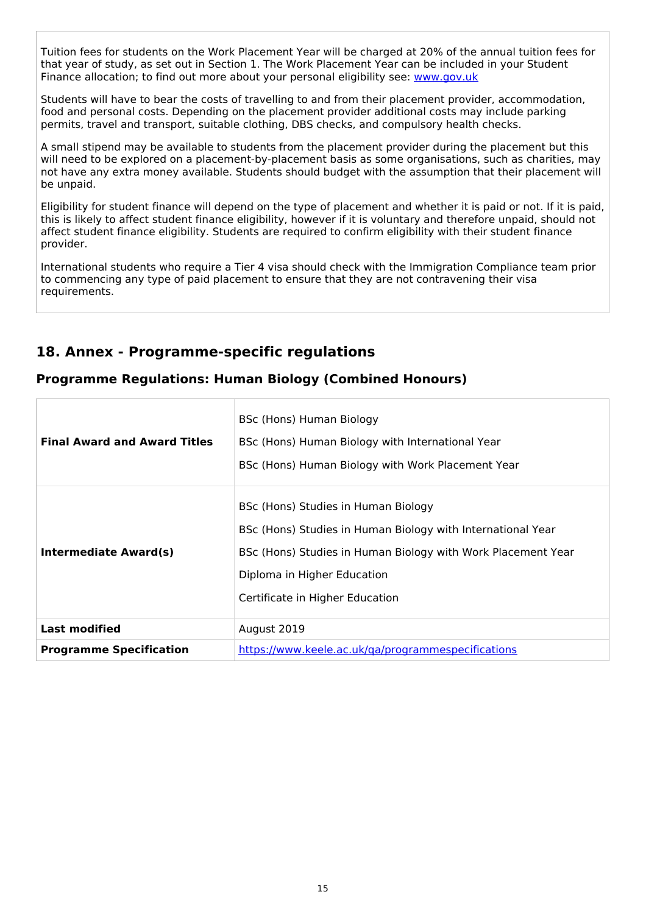Tuition fees for students on the Work Placement Year will be charged at 20% of the annual tuition fees for that year of study, as set out in Section 1. The Work Placement Year can be included in your Student Finance allocation; to find out more about your personal eligibility see: [www.gov.uk](http://www.gov.uk/)

Students will have to bear the costs of travelling to and from their placement provider, accommodation, food and personal costs. Depending on the placement provider additional costs may include parking permits, travel and transport, suitable clothing, DBS checks, and compulsory health checks.

A small stipend may be available to students from the placement provider during the placement but this will need to be explored on a placement-by-placement basis as some organisations, such as charities, may not have any extra money available. Students should budget with the assumption that their placement will be unpaid.

Eligibility for student finance will depend on the type of placement and whether it is paid or not. If it is paid, this is likely to affect student finance eligibility, however if it is voluntary and therefore unpaid, should not affect student finance eligibility. Students are required to confirm eligibility with their student finance provider.

International students who require a Tier 4 visa should check with the Immigration Compliance team prior to commencing any type of paid placement to ensure that they are not contravening their visa requirements.

# **18. Annex - Programme-specific regulations**

### **Programme Regulations: Human Biology (Combined Honours)**

| <b>Final Award and Award Titles</b> | BSc (Hons) Human Biology<br>BSc (Hons) Human Biology with International Year<br>BSc (Hons) Human Biology with Work Placement Year                                                                                                    |
|-------------------------------------|--------------------------------------------------------------------------------------------------------------------------------------------------------------------------------------------------------------------------------------|
| Intermediate Award(s)               | BSc (Hons) Studies in Human Biology<br>BSc (Hons) Studies in Human Biology with International Year<br>BSc (Hons) Studies in Human Biology with Work Placement Year<br>Diploma in Higher Education<br>Certificate in Higher Education |
| <b>Last modified</b>                | August 2019                                                                                                                                                                                                                          |
| <b>Programme Specification</b>      | https://www.keele.ac.uk/ga/programmespecifications                                                                                                                                                                                   |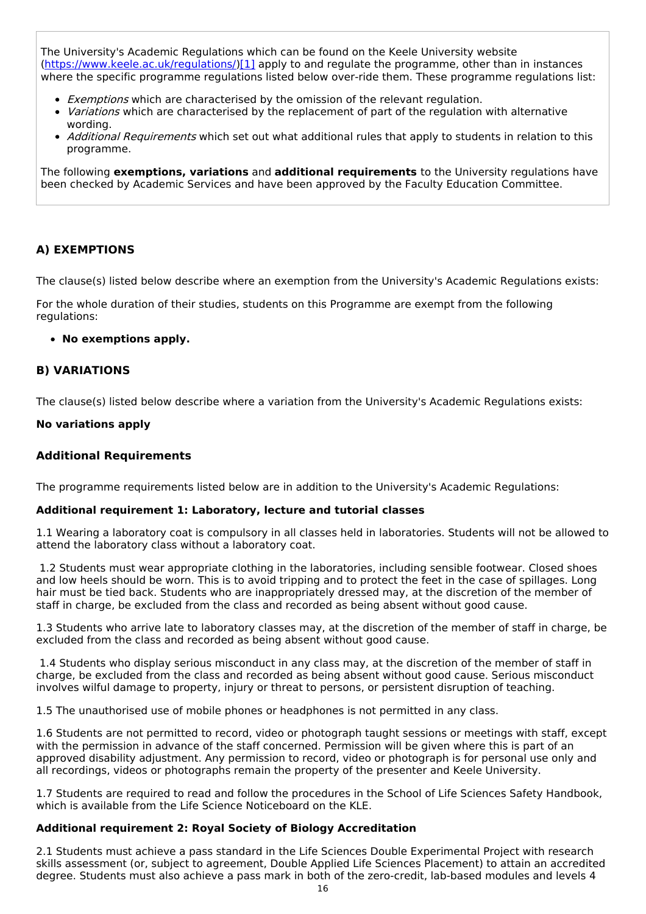The University's Academic Regulations which can be found on the Keele University website [\(https://www.keele.ac.uk/regulations/](https://www.keele.ac.uk/regulations/)[\)\[1\]](https://scims-api.keele.ac.uk/#_ftn1) apply to and regulate the programme, other than in instances where the specific programme regulations listed below over-ride them. These programme regulations list:

- **Exemptions which are characterised by the omission of the relevant regulation.**
- Variations which are characterised by the replacement of part of the regulation with alternative wording.
- Additional Requirements which set out what additional rules that apply to students in relation to this programme.

The following **exemptions, variations** and **additional requirements** to the University regulations have been checked by Academic Services and have been approved by the Faculty Education Committee.

### **A) EXEMPTIONS**

The clause(s) listed below describe where an exemption from the University's Academic Regulations exists:

For the whole duration of their studies, students on this Programme are exempt from the following regulations:

#### **No exemptions apply.**

#### **B) VARIATIONS**

The clause(s) listed below describe where a variation from the University's Academic Regulations exists:

#### **No variations apply**

#### **Additional Requirements**

The programme requirements listed below are in addition to the University's Academic Regulations:

#### **Additional requirement 1: Laboratory, lecture and tutorial classes**

1.1 Wearing a laboratory coat is compulsory in all classes held in laboratories. Students will not be allowed to attend the laboratory class without a laboratory coat.

1.2 Students must wear appropriate clothing in the laboratories, including sensible footwear. Closed shoes and low heels should be worn. This is to avoid tripping and to protect the feet in the case of spillages. Long hair must be tied back. Students who are inappropriately dressed may, at the discretion of the member of staff in charge, be excluded from the class and recorded as being absent without good cause.

1.3 Students who arrive late to laboratory classes may, at the discretion of the member of staff in charge, be excluded from the class and recorded as being absent without good cause.

1.4 Students who display serious misconduct in any class may, at the discretion of the member of staff in charge, be excluded from the class and recorded as being absent without good cause. Serious misconduct involves wilful damage to property, injury or threat to persons, or persistent disruption of teaching.

1.5 The unauthorised use of mobile phones or headphones is not permitted in any class.

1.6 Students are not permitted to record, video or photograph taught sessions or meetings with staff, except with the permission in advance of the staff concerned. Permission will be given where this is part of an approved disability adjustment. Any permission to record, video or photograph is for personal use only and all recordings, videos or photographs remain the property of the presenter and Keele University.

1.7 Students are required to read and follow the procedures in the School of Life Sciences Safety Handbook, which is available from the Life Science Noticeboard on the KLE.

#### **Additional requirement 2: Royal Society of Biology Accreditation**

2.1 Students must achieve a pass standard in the Life Sciences Double Experimental Project with research skills assessment (or, subject to agreement, Double Applied Life Sciences Placement) to attain an accredited degree. Students must also achieve a pass mark in both of the zero-credit, lab-based modules and levels 4